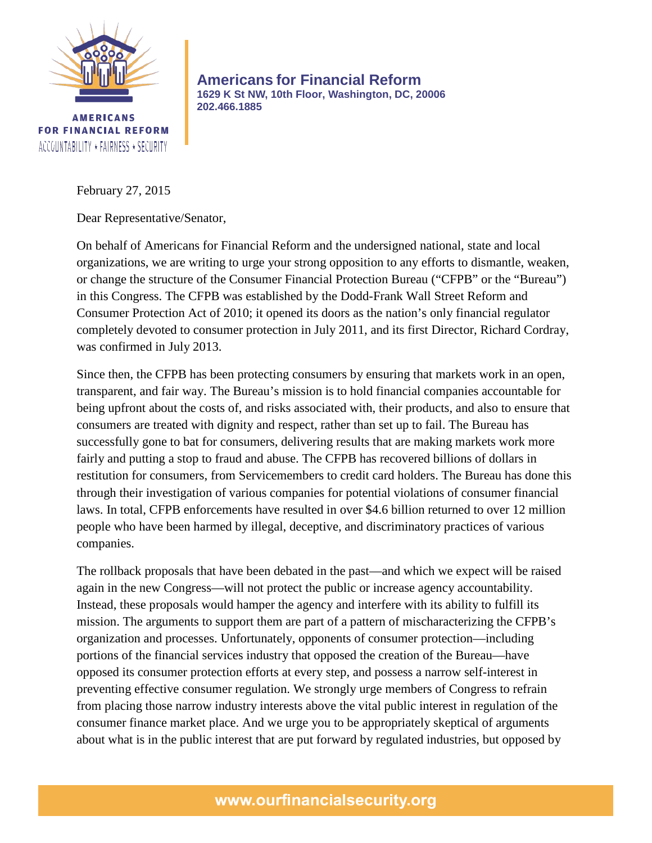

**AMERICANS FOR FINANCIAL REFORM** ACCOUNTABILITY \* FAIRNESS \* SECURITY

**Americans for Financial Reform 1629 K St NW, 10th Floor, Washington, DC, 20006 202.466.1885**

February 27, 2015

Dear Representative/Senator,

On behalf of Americans for Financial Reform and the undersigned national, state and local organizations, we are writing to urge your strong opposition to any efforts to dismantle, weaken, or change the structure of the Consumer Financial Protection Bureau ("CFPB" or the "Bureau") in this Congress. The CFPB was established by the Dodd-Frank Wall Street Reform and Consumer Protection Act of 2010; it opened its doors as the nation's only financial regulator completely devoted to consumer protection in July 2011, and its first Director, Richard Cordray, was confirmed in July 2013.

Since then, the CFPB has been protecting consumers by ensuring that markets work in an open, transparent, and fair way. The Bureau's mission is to hold financial companies accountable for being upfront about the costs of, and risks associated with, their products, and also to ensure that consumers are treated with dignity and respect, rather than set up to fail. The Bureau has successfully gone to bat for consumers, delivering results that are making markets work more fairly and putting a stop to fraud and abuse. The CFPB has recovered billions of dollars in restitution for consumers, from Servicemembers to credit card holders. The Bureau has done this through their investigation of various companies for potential violations of consumer financial laws. In total, CFPB enforcements have resulted in over \$4.6 billion returned to over 12 million people who have been harmed by illegal, deceptive, and discriminatory practices of various companies.

The rollback proposals that have been debated in the past—and which we expect will be raised again in the new Congress—will not protect the public or increase agency accountability. Instead, these proposals would hamper the agency and interfere with its ability to fulfill its mission. The arguments to support them are part of a pattern of mischaracterizing the CFPB's organization and processes. Unfortunately, opponents of consumer protection—including portions of the financial services industry that opposed the creation of the Bureau—have opposed its consumer protection efforts at every step, and possess a narrow self-interest in preventing effective consumer regulation. We strongly urge members of Congress to refrain from placing those narrow industry interests above the vital public interest in regulation of the consumer finance market place. And we urge you to be appropriately skeptical of arguments about what is in the public interest that are put forward by regulated industries, but opposed by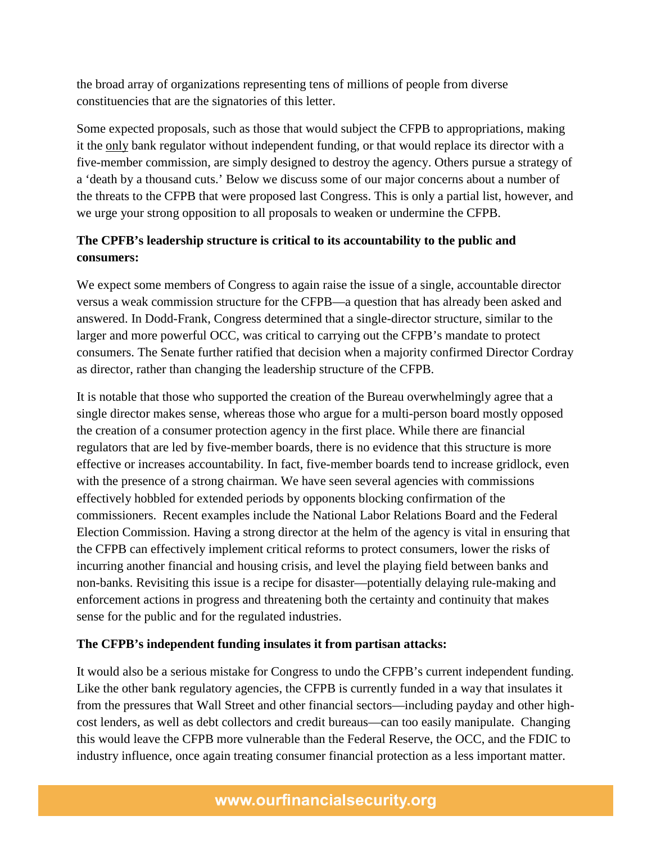the broad array of organizations representing tens of millions of people from diverse constituencies that are the signatories of this letter.

Some expected proposals, such as those that would subject the CFPB to appropriations, making it the only bank regulator without independent funding, or that would replace its director with a five-member commission, are simply designed to destroy the agency. Others pursue a strategy of a 'death by a thousand cuts.' Below we discuss some of our major concerns about a number of the threats to the CFPB that were proposed last Congress. This is only a partial list, however, and we urge your strong opposition to all proposals to weaken or undermine the CFPB.

# **The CPFB's leadership structure is critical to its accountability to the public and consumers:**

We expect some members of Congress to again raise the issue of a single, accountable director versus a weak commission structure for the CFPB—a question that has already been asked and answered. In Dodd-Frank, Congress determined that a single-director structure, similar to the larger and more powerful OCC, was critical to carrying out the CFPB's mandate to protect consumers. The Senate further ratified that decision when a majority confirmed Director Cordray as director, rather than changing the leadership structure of the CFPB.

It is notable that those who supported the creation of the Bureau overwhelmingly agree that a single director makes sense, whereas those who argue for a multi-person board mostly opposed the creation of a consumer protection agency in the first place. While there are financial regulators that are led by five-member boards, there is no evidence that this structure is more effective or increases accountability. In fact, five-member boards tend to increase gridlock, even with the presence of a strong chairman. We have seen several agencies with commissions effectively hobbled for extended periods by opponents blocking confirmation of the commissioners. Recent examples include the National Labor Relations Board and the Federal Election Commission. Having a strong director at the helm of the agency is vital in ensuring that the CFPB can effectively implement critical reforms to protect consumers, lower the risks of incurring another financial and housing crisis, and level the playing field between banks and non-banks. Revisiting this issue is a recipe for disaster—potentially delaying rule-making and enforcement actions in progress and threatening both the certainty and continuity that makes sense for the public and for the regulated industries.

# **The CFPB's independent funding insulates it from partisan attacks:**

It would also be a serious mistake for Congress to undo the CFPB's current independent funding. Like the other bank regulatory agencies, the CFPB is currently funded in a way that insulates it from the pressures that Wall Street and other financial sectors—including payday and other highcost lenders, as well as debt collectors and credit bureaus—can too easily manipulate. Changing this would leave the CFPB more vulnerable than the Federal Reserve, the OCC, and the FDIC to industry influence, once again treating consumer financial protection as a less important matter.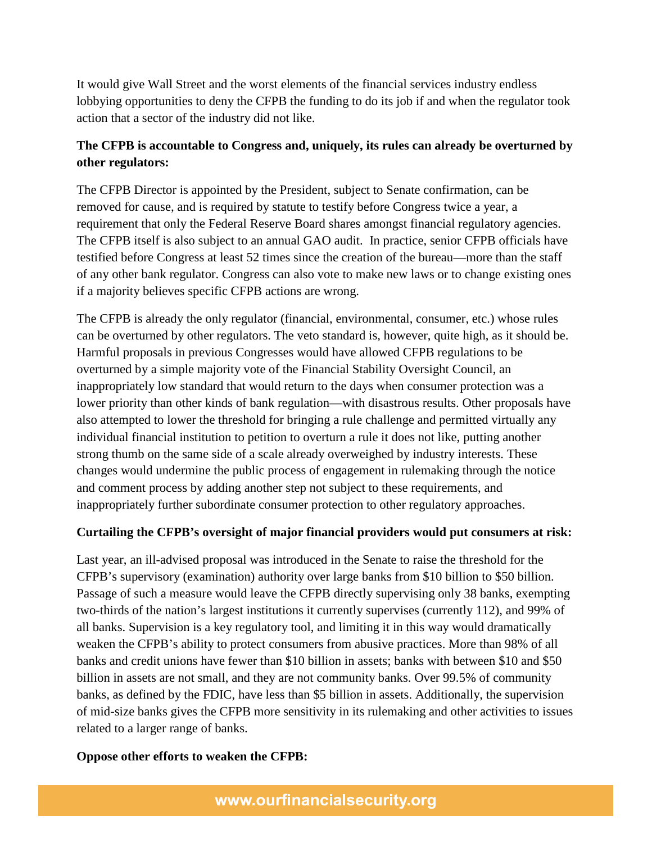It would give Wall Street and the worst elements of the financial services industry endless lobbying opportunities to deny the CFPB the funding to do its job if and when the regulator took action that a sector of the industry did not like.

# **The CFPB is accountable to Congress and, uniquely, its rules can already be overturned by other regulators:**

The CFPB Director is appointed by the President, subject to Senate confirmation, can be removed for cause, and is required by statute to testify before Congress twice a year, a requirement that only the Federal Reserve Board shares amongst financial regulatory agencies. The CFPB itself is also subject to an annual GAO audit. In practice, senior CFPB officials have testified before Congress at least 52 times since the creation of the bureau—more than the staff of any other bank regulator. Congress can also vote to make new laws or to change existing ones if a majority believes specific CFPB actions are wrong.

The CFPB is already the only regulator (financial, environmental, consumer, etc.) whose rules can be overturned by other regulators. The veto standard is, however, quite high, as it should be. Harmful proposals in previous Congresses would have allowed CFPB regulations to be overturned by a simple majority vote of the Financial Stability Oversight Council, an inappropriately low standard that would return to the days when consumer protection was a lower priority than other kinds of bank regulation—with disastrous results. Other proposals have also attempted to lower the threshold for bringing a rule challenge and permitted virtually any individual financial institution to petition to overturn a rule it does not like, putting another strong thumb on the same side of a scale already overweighed by industry interests. These changes would undermine the public process of engagement in rulemaking through the notice and comment process by adding another step not subject to these requirements, and inappropriately further subordinate consumer protection to other regulatory approaches.

# **Curtailing the CFPB's oversight of major financial providers would put consumers at risk:**

Last year, an ill-advised proposal was introduced in the Senate to raise the threshold for the CFPB's supervisory (examination) authority over large banks from \$10 billion to \$50 billion. Passage of such a measure would leave the CFPB directly supervising only 38 banks, exempting two-thirds of the nation's largest institutions it currently supervises (currently 112), and 99% of all banks. Supervision is a key regulatory tool, and limiting it in this way would dramatically weaken the CFPB's ability to protect consumers from abusive practices. More than 98% of all banks and credit unions have fewer than \$10 billion in assets; banks with between \$10 and \$50 billion in assets are not small, and they are not community banks. Over 99.5% of community banks, as defined by the FDIC, have less than \$5 billion in assets. Additionally, the supervision of mid-size banks gives the CFPB more sensitivity in its rulemaking and other activities to issues related to a larger range of banks.

# **Oppose other efforts to weaken the CFPB:**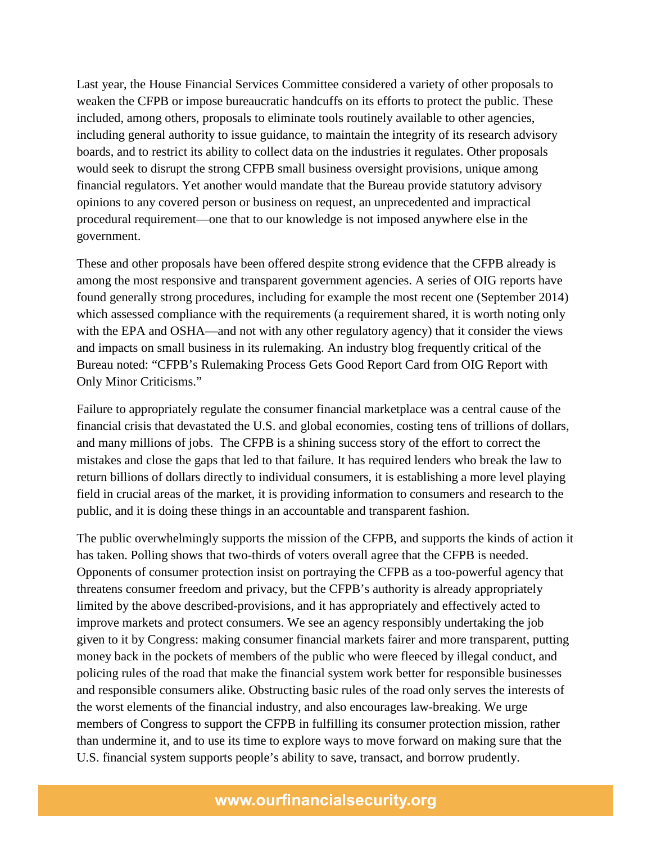Last year, the House Financial Services Committee considered a variety of other proposals to weaken the CFPB or impose bureaucratic handcuffs on its efforts to protect the public. These included, among others, proposals to eliminate tools routinely available to other agencies, including general authority to issue guidance, to maintain the integrity of its research advisory boards, and to restrict its ability to collect data on the industries it regulates. Other proposals would seek to disrupt the strong CFPB small business oversight provisions, unique among financial regulators. Yet another would mandate that the Bureau provide statutory advisory opinions to any covered person or business on request, an unprecedented and impractical procedural requirement—one that to our knowledge is not imposed anywhere else in the government.

These and other proposals have been offered despite strong evidence that the CFPB already is among the most responsive and transparent government agencies. A series of OIG reports have found generally strong procedures, including for example the most recent one (September 2014) which assessed compliance with the requirements (a requirement shared, it is worth noting only with the EPA and OSHA—and not with any other regulatory agency) that it consider the views and impacts on small business in its rulemaking. An industry blog frequently critical of the Bureau noted: "CFPB's Rulemaking Process Gets Good Report Card from OIG Report with Only Minor Criticisms."

Failure to appropriately regulate the consumer financial marketplace was a central cause of the financial crisis that devastated the U.S. and global economies, costing tens of trillions of dollars, and many millions of jobs. The CFPB is a shining success story of the effort to correct the mistakes and close the gaps that led to that failure. It has required lenders who break the law to return billions of dollars directly to individual consumers, it is establishing a more level playing field in crucial areas of the market, it is providing information to consumers and research to the public, and it is doing these things in an accountable and transparent fashion.

The public overwhelmingly supports the mission of the CFPB, and supports the kinds of action it has taken. Polling shows that two-thirds of voters overall agree that the CFPB is needed. Opponents of consumer protection insist on portraying the CFPB as a too-powerful agency that threatens consumer freedom and privacy, but the CFPB's authority is already appropriately limited by the above described-provisions, and it has appropriately and effectively acted to improve markets and protect consumers. We see an agency responsibly undertaking the job given to it by Congress: making consumer financial markets fairer and more transparent, putting money back in the pockets of members of the public who were fleeced by illegal conduct, and policing rules of the road that make the financial system work better for responsible businesses and responsible consumers alike. Obstructing basic rules of the road only serves the interests of the worst elements of the financial industry, and also encourages law-breaking. We urge members of Congress to support the CFPB in fulfilling its consumer protection mission, rather than undermine it, and to use its time to explore ways to move forward on making sure that the U.S. financial system supports people's ability to save, transact, and borrow prudently.

# www.ourfinancialsecurity.org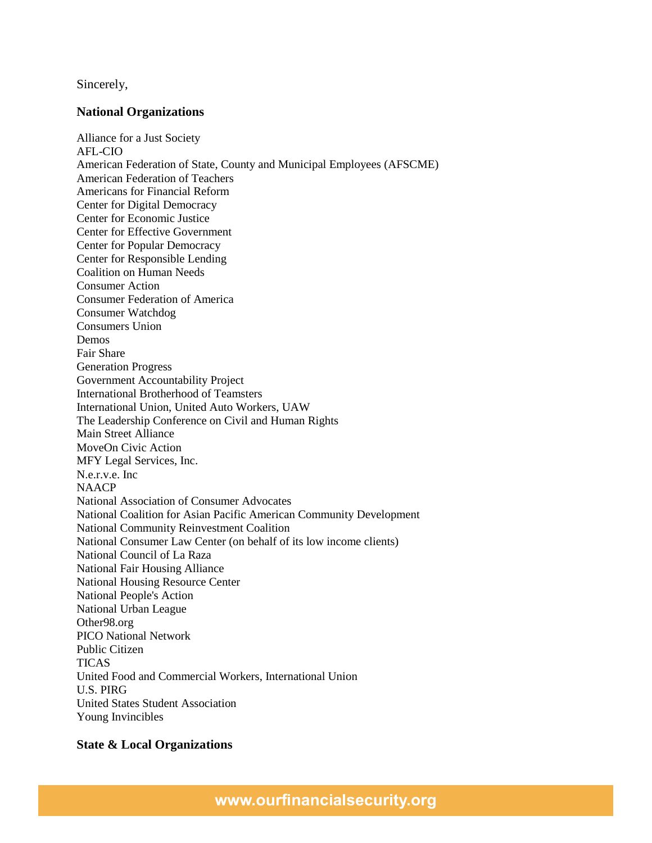Sincerely,

# **National Organizations**

Alliance for a Just Society AFL-CIO American Federation of State, County and Municipal Employees (AFSCME) American Federation of Teachers Americans for Financial Reform Center for Digital Democracy Center for Economic Justice Center for Effective Government Center for Popular Democracy Center for Responsible Lending Coalition on Human Needs Consumer Action Consumer Federation of America Consumer Watchdog Consumers Union Demos Fair Share Generation Progress Government Accountability Project International Brotherhood of Teamsters International Union, United Auto Workers, UAW The Leadership Conference on Civil and Human Rights Main Street Alliance MoveOn Civic Action MFY Legal Services, Inc. N.e.r.v.e. Inc **NAACP** National Association of Consumer Advocates National Coalition for Asian Pacific American Community Development National Community Reinvestment Coalition National Consumer Law Center (on behalf of its low income clients) National Council of La Raza National Fair Housing Alliance National Housing Resource Center National People's Action National Urban League Other98.org PICO National Network Public Citizen TICAS United Food and Commercial Workers, International Union U.S. PIRG United States Student Association Young Invincibles

# **State & Local Organizations**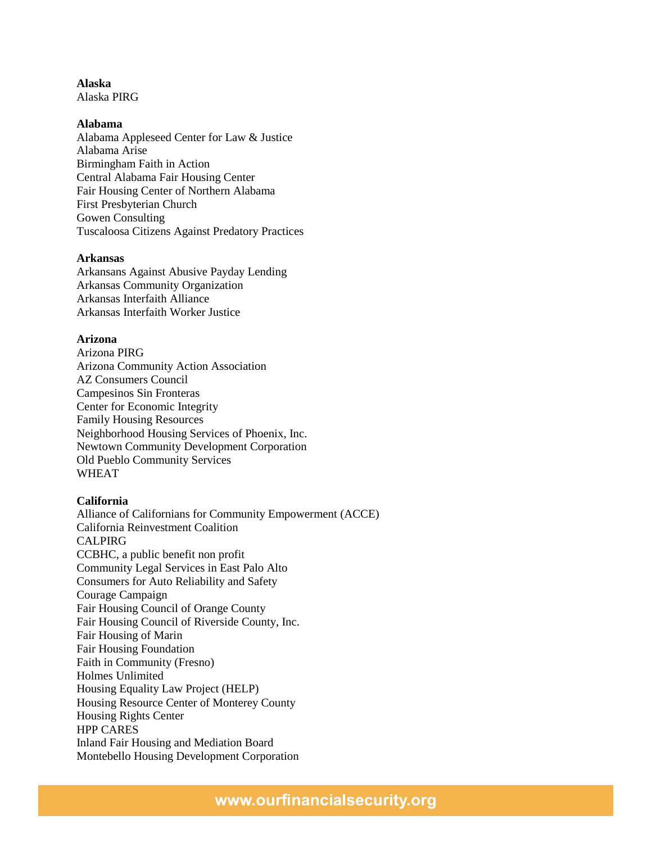# **Alaska**

Alaska PIRG

# **Alabama**

Alabama Appleseed Center for Law & Justice Alabama Arise Birmingham Faith in Action Central Alabama Fair Housing Center Fair Housing Center of Northern Alabama First Presbyterian Church Gowen Consulting Tuscaloosa Citizens Against Predatory Practices

# **Arkansas**

Arkansans Against Abusive Payday Lending Arkansas Community Organization Arkansas Interfaith Alliance Arkansas Interfaith Worker Justice

# **Arizona**

Arizona PIRG Arizona Community Action Association AZ Consumers Council Campesinos Sin Fronteras Center for Economic Integrity Family Housing Resources Neighborhood Housing Services of Phoenix, Inc. Newtown Community Development Corporation Old Pueblo Community Services WHEAT

# **California**

Alliance of Californians for Community Empowerment (ACCE) California Reinvestment Coalition CALPIRG CCBHC, a public benefit non profit Community Legal Services in East Palo Alto Consumers for Auto Reliability and Safety Courage Campaign Fair Housing Council of Orange County Fair Housing Council of Riverside County, Inc. Fair Housing of Marin Fair Housing Foundation Faith in Community (Fresno) Holmes Unlimited Housing Equality Law Project (HELP) Housing Resource Center of Monterey County Housing Rights Center HPP CARES Inland Fair Housing and Mediation Board Montebello Housing Development Corporation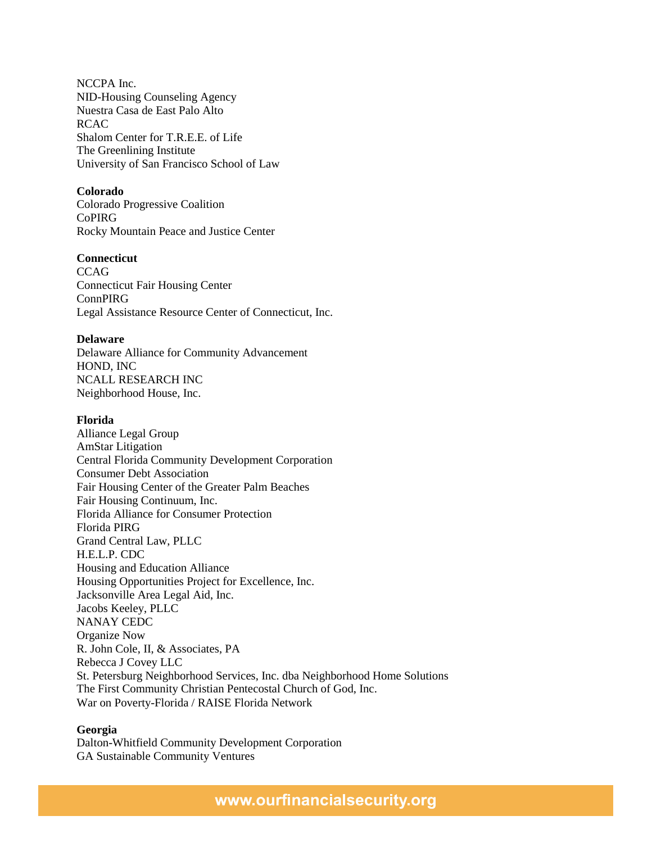NCCPA Inc. NID-Housing Counseling Agency Nuestra Casa de East Palo Alto RCAC Shalom Center for T.R.E.E. of Life The Greenlining Institute University of San Francisco School of Law

## **Colorado**

Colorado Progressive Coalition CoPIRG Rocky Mountain Peace and Justice Center

# **Connecticut**

**CCAG** Connecticut Fair Housing Center ConnPIRG Legal Assistance Resource Center of Connecticut, Inc.

#### **Delaware**

Delaware Alliance for Community Advancement HOND, INC NCALL RESEARCH INC Neighborhood House, Inc.

#### **Florida**

Alliance Legal Group AmStar Litigation Central Florida Community Development Corporation Consumer Debt Association Fair Housing Center of the Greater Palm Beaches Fair Housing Continuum, Inc. Florida Alliance for Consumer Protection Florida PIRG Grand Central Law, PLLC H.E.L.P. CDC Housing and Education Alliance Housing Opportunities Project for Excellence, Inc. Jacksonville Area Legal Aid, Inc. Jacobs Keeley, PLLC NANAY CEDC Organize Now R. John Cole, II, & Associates, PA Rebecca J Covey LLC St. Petersburg Neighborhood Services, Inc. dba Neighborhood Home Solutions The First Community Christian Pentecostal Church of God, Inc. War on Poverty-Florida / RAISE Florida Network

## **Georgia**

Dalton-Whitfield Community Development Corporation GA Sustainable Community Ventures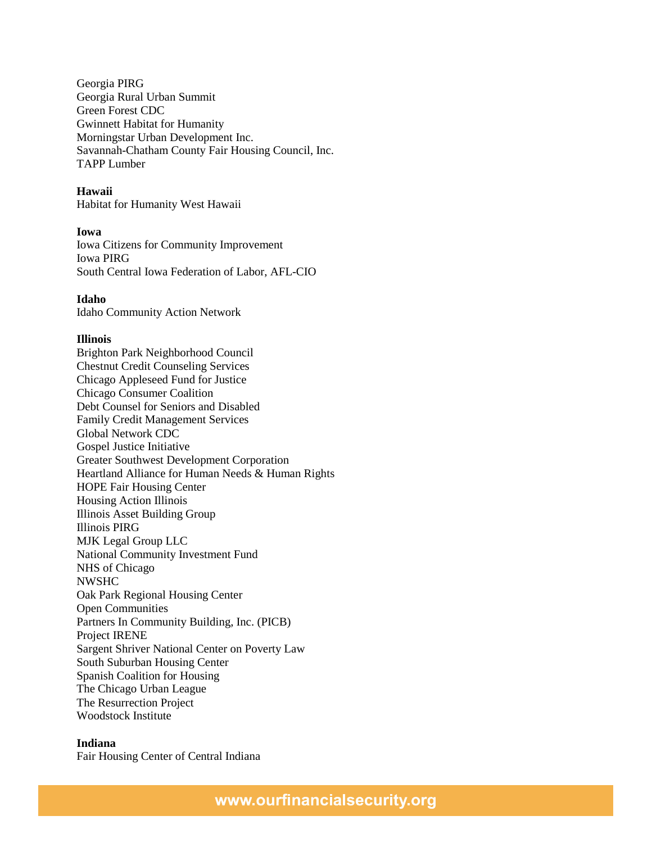Georgia PIRG Georgia Rural Urban Summit Green Forest CDC Gwinnett Habitat for Humanity Morningstar Urban Development Inc. Savannah-Chatham County Fair Housing Council, Inc. TAPP Lumber

# **Hawaii**

Habitat for Humanity West Hawaii

## **Iowa**

Iowa Citizens for Community Improvement Iowa PIRG South Central Iowa Federation of Labor, AFL-CIO

# **Idaho**

Idaho Community Action Network

## **Illinois**

Brighton Park Neighborhood Council Chestnut Credit Counseling Services Chicago Appleseed Fund for Justice Chicago Consumer Coalition Debt Counsel for Seniors and Disabled Family Credit Management Services Global Network CDC Gospel Justice Initiative Greater Southwest Development Corporation Heartland Alliance for Human Needs & Human Rights HOPE Fair Housing Center Housing Action Illinois Illinois Asset Building Group Illinois PIRG MJK Legal Group LLC National Community Investment Fund NHS of Chicago NWSHC Oak Park Regional Housing Center Open Communities Partners In Community Building, Inc. (PICB) Project IRENE Sargent Shriver National Center on Poverty Law South Suburban Housing Center Spanish Coalition for Housing The Chicago Urban League The Resurrection Project Woodstock Institute

### **Indiana**

Fair Housing Center of Central Indiana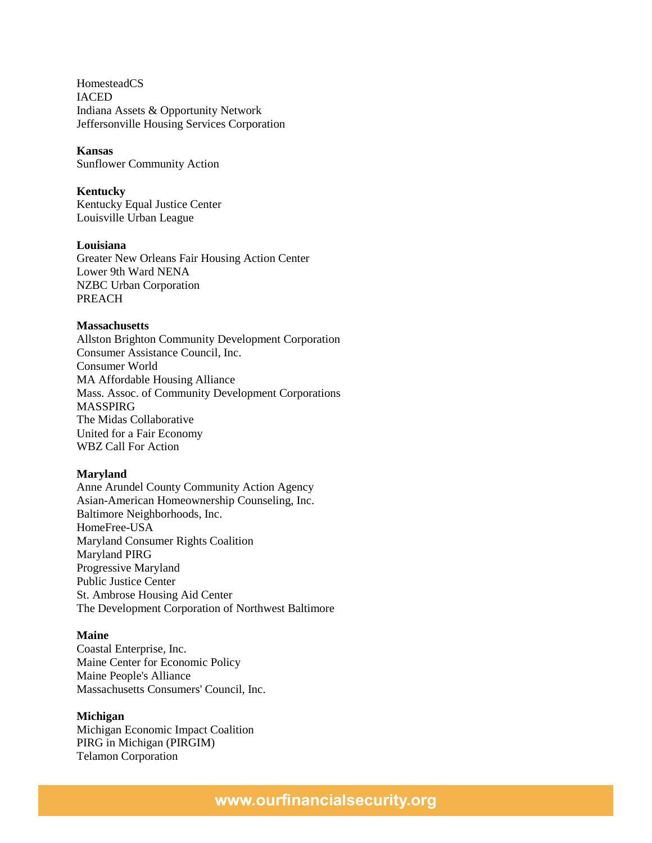HomesteadCS **IACED** Indiana Assets & Opportunity Network Jeffersonville Housing Services Corporation

### **Kansas**

Sunflower Community Action

# **Kentucky**

Kentucky Equal Justice Center Louisville Urban League

## **Louisiana**

Greater New Orleans Fair Housing Action Center Lower 9th Ward NENA NZBC Urban Corporation PREACH

### **Massachusetts**

Allston Brighton Community Development Corporation Consumer Assistance Council, Inc. Consumer World MA Affordable Housing Alliance Mass. Assoc. of Community Development Corporations MASSPIRG The Midas Collaborative United for a Fair Economy WBZ Call For Action

#### **Maryland**

Anne Arundel County Community Action Agency Asian-American Homeownership Counseling, Inc. Baltimore Neighborhoods, Inc. HomeFree-USA Maryland Consumer Rights Coalition Maryland PIRG Progressive Maryland Public Justice Center St. Ambrose Housing Aid Center The Development Corporation of Northwest Baltimore

### **Maine**

Coastal Enterprise, Inc. Maine Center for Economic Policy Maine People's Alliance Massachusetts Consumers' Council, Inc.

### **Michigan**

Michigan Economic Impact Coalition PIRG in Michigan (PIRGIM) Telamon Corporation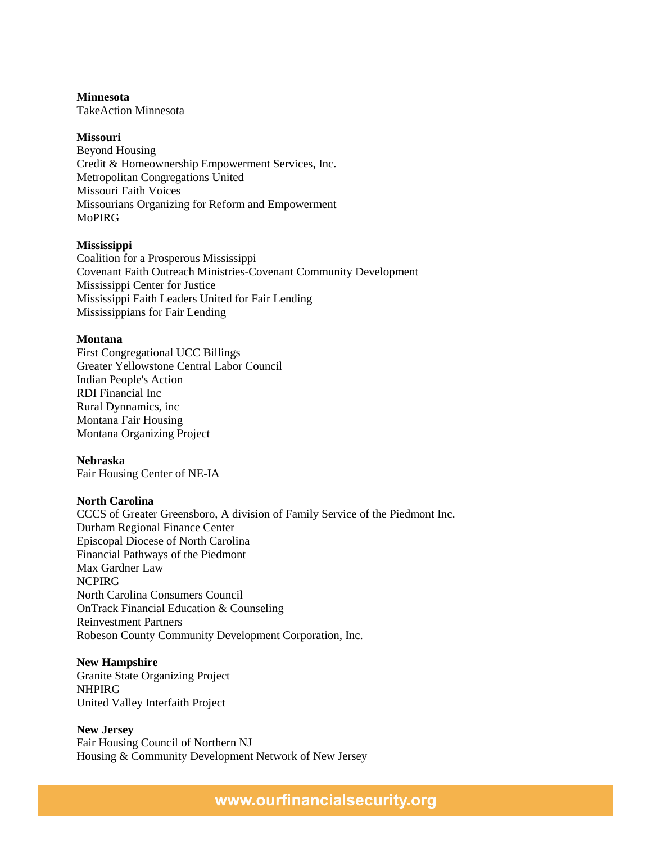## **Minnesota**

TakeAction Minnesota

# **Missouri**

Beyond Housing Credit & Homeownership Empowerment Services, Inc. Metropolitan Congregations United Missouri Faith Voices Missourians Organizing for Reform and Empowerment MoPIRG

# **Mississippi**

Coalition for a Prosperous Mississippi Covenant Faith Outreach Ministries-Covenant Community Development Mississippi Center for Justice Mississippi Faith Leaders United for Fair Lending Mississippians for Fair Lending

# **Montana**

First Congregational UCC Billings Greater Yellowstone Central Labor Council Indian People's Action RDI Financial Inc Rural Dynnamics, inc Montana Fair Housing Montana Organizing Project

# **Nebraska**

Fair Housing Center of NE-IA

## **North Carolina**

CCCS of Greater Greensboro, A division of Family Service of the Piedmont Inc. Durham Regional Finance Center Episcopal Diocese of North Carolina Financial Pathways of the Piedmont Max Gardner Law NCPIRG North Carolina Consumers Council OnTrack Financial Education & Counseling Reinvestment Partners Robeson County Community Development Corporation, Inc.

## **New Hampshire**

Granite State Organizing Project NHPIRG United Valley Interfaith Project

## **New Jersey**

Fair Housing Council of Northern NJ Housing & Community Development Network of New Jersey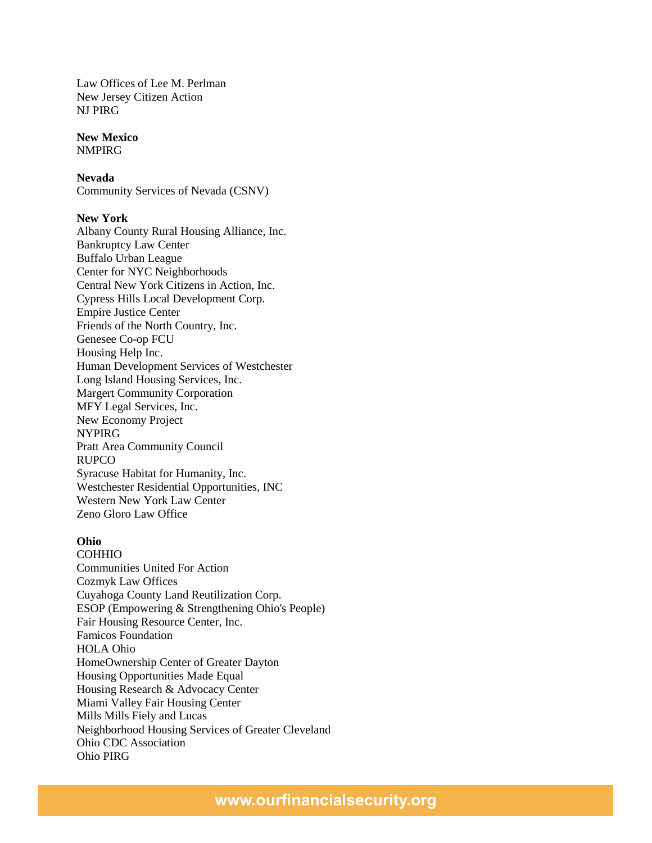Law Offices of Lee M. Perlman New Jersey Citizen Action NJ PIRG

#### **New Mexico** NMPIRG

# **Nevada**

Community Services of Nevada (CSNV)

# **New York**

Albany County Rural Housing Alliance, Inc. Bankruptcy Law Center Buffalo Urban League Center for NYC Neighborhoods Central New York Citizens in Action, Inc. Cypress Hills Local Development Corp. Empire Justice Center Friends of the North Country, Inc. Genesee Co-op FCU Housing Help Inc. Human Development Services of Westchester Long Island Housing Services, Inc. Margert Community Corporation MFY Legal Services, Inc. New Economy Project NYPIRG Pratt Area Community Council RUPCO Syracuse Habitat for Humanity, Inc. Westchester Residential Opportunities, INC Western New York Law Center Zeno Gloro Law Office

# **Ohio**

COHHIO Communities United For Action Cozmyk Law Offices Cuyahoga County Land Reutilization Corp. ESOP (Empowering & Strengthening Ohio's People) Fair Housing Resource Center, Inc. Famicos Foundation HOLA Ohio HomeOwnership Center of Greater Dayton Housing Opportunities Made Equal Housing Research & Advocacy Center Miami Valley Fair Housing Center Mills Mills Fiely and Lucas Neighborhood Housing Services of Greater Cleveland Ohio CDC Association Ohio PIRG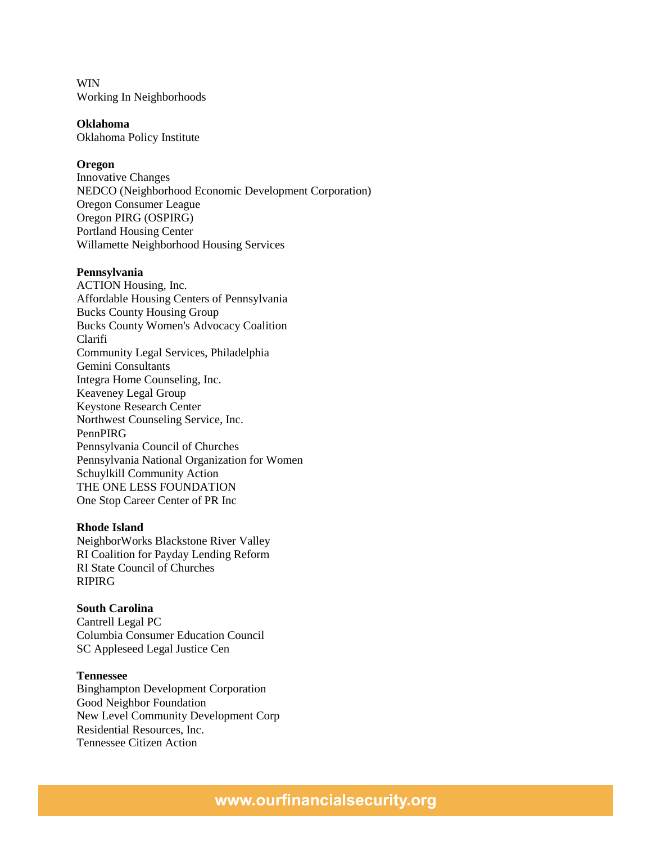WIN Working In Neighborhoods

**Oklahoma**

Oklahoma Policy Institute

## **Oregon**

Innovative Changes NEDCO (Neighborhood Economic Development Corporation) Oregon Consumer League Oregon PIRG (OSPIRG) Portland Housing Center Willamette Neighborhood Housing Services

#### **Pennsylvania**

ACTION Housing, Inc. Affordable Housing Centers of Pennsylvania Bucks County Housing Group Bucks County Women's Advocacy Coalition Clarifi Community Legal Services, Philadelphia Gemini Consultants Integra Home Counseling, Inc. Keaveney Legal Group Keystone Research Center Northwest Counseling Service, Inc. PennPIRG Pennsylvania Council of Churches Pennsylvania National Organization for Women Schuylkill Community Action THE ONE LESS FOUNDATION One Stop Career Center of PR Inc

# **Rhode Island**

NeighborWorks Blackstone River Valley RI Coalition for Payday Lending Reform RI State Council of Churches RIPIRG

# **South Carolina**

Cantrell Legal PC Columbia Consumer Education Council SC Appleseed Legal Justice Cen

#### **Tennessee**

Binghampton Development Corporation Good Neighbor Foundation New Level Community Development Corp Residential Resources, Inc. Tennessee Citizen Action